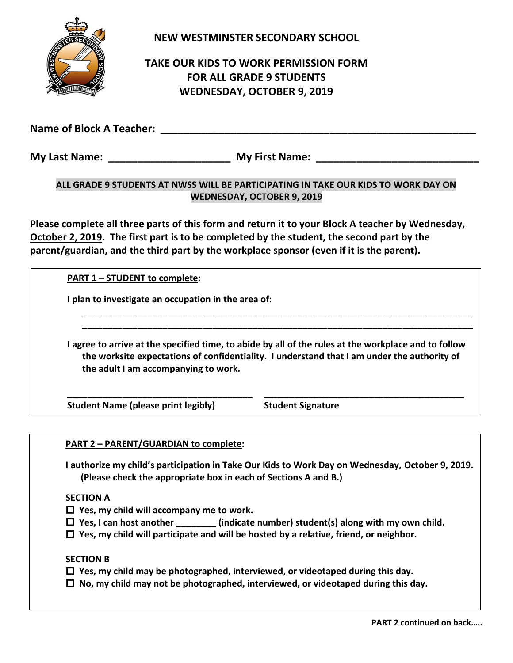

**NEW WESTMINSTER SECONDARY SCHOOL**

## **TAKE OUR KIDS TO WORK PERMISSION FORM FOR ALL GRADE 9 STUDENTS WEDNESDAY, OCTOBER 9, 2019**

**Name of Block A Teacher: We are also assumed by a set of Block A Teacher:** *We are also assumed* **and**  $\theta$  **and**  $\theta$  **are also assumed by a set of Block A Teacher:** 

**My Last Name: My First Name: My First Name: My First Name: My First Name: My First Name: My First Name: My First Name: My First Name: My First Name: My First Name: My First Name: My First Name: M** 

## **ALL GRADE 9 STUDENTS AT NWSS WILL BE PARTICIPATING IN TAKE OUR KIDS TO WORK DAY ON WEDNESDAY, OCTOBER 9, 2019**

**Please complete all three parts of this form and return it to your Block A teacher by Wednesday, October 2, 2019. The first part is to be completed by the student, the second part by the parent/guardian, and the third part by the workplace sponsor (even if it is the parent).**

**PART 1 – STUDENT to complete:**

**I plan to investigate an occupation in the area of:** 

**I agree to arrive at the specified time, to abide by all of the rules at the workplace and to follow the worksite expectations of confidentiality. I understand that I am under the authority of the adult I am accompanying to work.**

**\_\_\_\_\_\_\_\_\_\_\_\_\_\_\_\_\_\_\_\_\_\_\_\_\_\_\_\_\_\_\_\_\_\_\_\_\_ \_\_\_\_\_\_\_\_\_\_\_\_\_\_\_\_\_\_\_\_\_\_\_\_\_\_\_\_\_\_\_\_\_\_\_\_\_\_\_\_**

**\_\_\_\_\_\_\_\_\_\_\_\_\_\_\_\_\_\_\_\_\_\_\_\_\_\_\_\_\_\_\_\_\_\_\_\_\_\_\_\_\_\_\_\_\_\_\_\_\_\_\_\_\_\_\_\_\_\_\_\_\_\_\_\_\_\_\_\_\_\_\_\_\_\_\_\_\_\_ \_\_\_\_\_\_\_\_\_\_\_\_\_\_\_\_\_\_\_\_\_\_\_\_\_\_\_\_\_\_\_\_\_\_\_\_\_\_\_\_\_\_\_\_\_\_\_\_\_\_\_\_\_\_\_\_\_\_\_\_\_\_\_\_\_\_\_\_\_\_\_\_\_\_\_\_\_\_**

Student Name (please print legibly) Student Signature

**PART 2 – PARENT/GUARDIAN to complete:**

**I authorize my child's participation in Take Our Kids to Work Day on Wednesday, October 9, 2019. (Please check the appropriate box in each of Sections A and B.)**

**SECTION A**

- **Yes, my child will accompany me to work.**
- $\Box$  Yes, I can host another (indicate number) student(s) along with my own child.
- **Yes, my child will participate and will be hosted by a relative, friend, or neighbor.**

**SECTION B**

- **Yes, my child may be photographed, interviewed, or videotaped during this day.**
- **No, my child may not be photographed, interviewed, or videotaped during this day.**